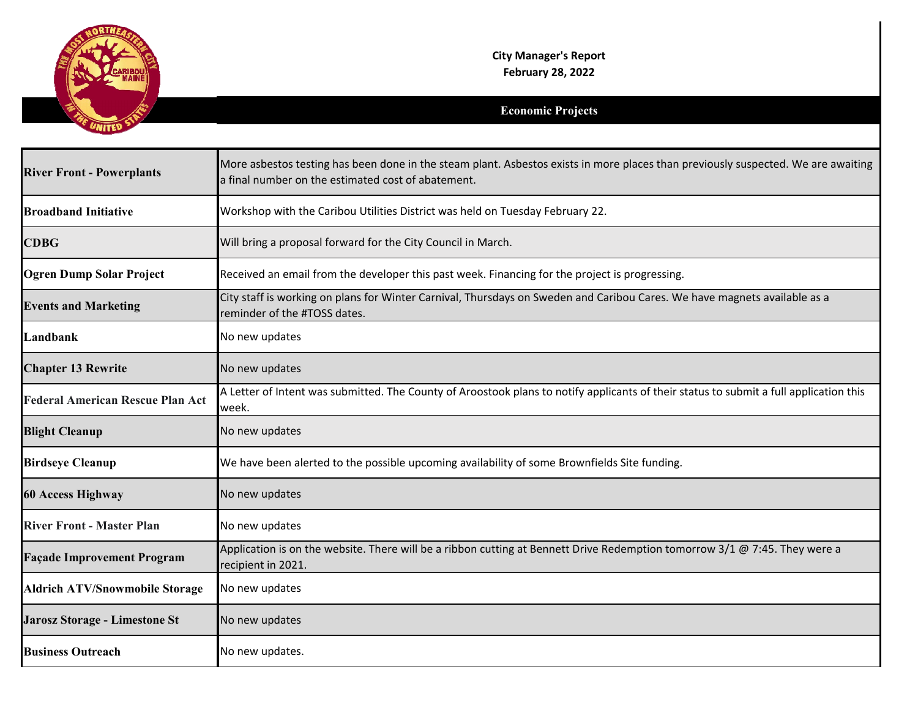

## **Economic Projects**

| <b>River Front - Powerplants</b>        | More asbestos testing has been done in the steam plant. Asbestos exists in more places than previously suspected. We are awaiting<br>a final number on the estimated cost of abatement. |
|-----------------------------------------|-----------------------------------------------------------------------------------------------------------------------------------------------------------------------------------------|
| <b>Broadband Initiative</b>             | Workshop with the Caribou Utilities District was held on Tuesday February 22.                                                                                                           |
| <b>CDBG</b>                             | Will bring a proposal forward for the City Council in March.                                                                                                                            |
| <b>Ogren Dump Solar Project</b>         | Received an email from the developer this past week. Financing for the project is progressing.                                                                                          |
| <b>Events and Marketing</b>             | City staff is working on plans for Winter Carnival, Thursdays on Sweden and Caribou Cares. We have magnets available as a<br>reminder of the #TOSS dates.                               |
| Landbank                                | No new updates                                                                                                                                                                          |
| <b>Chapter 13 Rewrite</b>               | No new updates                                                                                                                                                                          |
| <b>Federal American Rescue Plan Act</b> | A Letter of Intent was submitted. The County of Aroostook plans to notify applicants of their status to submit a full application this<br>week.                                         |
| <b>Blight Cleanup</b>                   | No new updates                                                                                                                                                                          |
| <b>Birdseye Cleanup</b>                 | We have been alerted to the possible upcoming availability of some Brownfields Site funding.                                                                                            |
| <b>60 Access Highway</b>                | No new updates                                                                                                                                                                          |
| <b>River Front - Master Plan</b>        | No new updates                                                                                                                                                                          |
| <b>Façade Improvement Program</b>       | Application is on the website. There will be a ribbon cutting at Bennett Drive Redemption tomorrow 3/1 @ 7:45. They were a<br>recipient in 2021.                                        |
| <b>Aldrich ATV/Snowmobile Storage</b>   | No new updates                                                                                                                                                                          |
| Jarosz Storage - Limestone St           | No new updates                                                                                                                                                                          |
| <b>Business Outreach</b>                | No new updates.                                                                                                                                                                         |